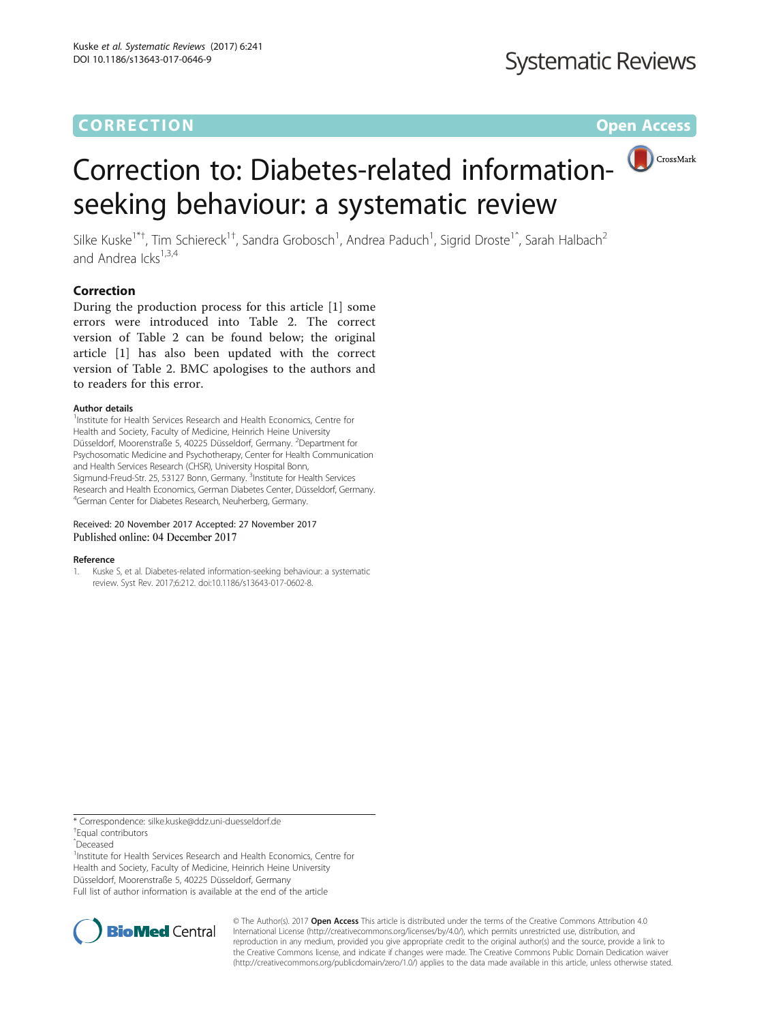# **CORRECTION CORRECTION CORRECTION**

# Correction to: Diabetes-related informationseeking behaviour: a systematic review

Silke Kuske<sup>1\*†</sup>, Tim Schiereck<sup>1†</sup>, Sandra Grobosch<sup>1</sup>, Andrea Paduch<sup>1</sup>, Sigrid Droste<sup>1^</sup>, Sarah Halbach<sup>2</sup> and Andrea Icks $^{1,3,4}$ 

# Correction

During the production process for this article [1] some errors were introduced into Table 2. The correct version of Table 2 can be found below; the original article [1] has also been updated with the correct version of Table [2.](#page-1-0) BMC apologises to the authors and to readers for this error.

## Author details

<sup>1</sup>Institute for Health Services Research and Health Economics, Centre for Health and Society, Faculty of Medicine, Heinrich Heine University Düsseldorf, Moorenstraße 5, 40225 Düsseldorf, Germany. <sup>2</sup>Department for Psychosomatic Medicine and Psychotherapy, Center for Health Communication and Health Services Research (CHSR), University Hospital Bonn, Sigmund-Freud-Str. 25, 53127 Bonn, Germany. <sup>3</sup>Institute for Health Services Research and Health Economics, German Diabetes Center, Düsseldorf, Germany. 4 German Center for Diabetes Research, Neuherberg, Germany.

### Received: 20 November 2017 Accepted: 27 November 2017 Published online: 04 December 2017

### Reference

1. Kuske S, et al. Diabetes-related information-seeking behaviour: a systematic review. Syst Rev. 2017;6:212. doi:[10.1186/s13643-017-0602-8](http://dx.doi.org/10.1186/s13643-017-0602-8).

\* Correspondence: [silke.kuske@ddz.uni-duesseldorf.de](mailto:silke.kuske@ddz.uni-duesseldorf.de) †

Equal contributors

ˆDeceased

<sup>1</sup>Institute for Health Services Research and Health Economics, Centre for Health and Society, Faculty of Medicine, Heinrich Heine University Düsseldorf, Moorenstraße 5, 40225 Düsseldorf, Germany Full list of author information is available at the end of the article



© The Author(s). 2017 **Open Access** This article is distributed under the terms of the Creative Commons Attribution 4.0 International License [\(http://creativecommons.org/licenses/by/4.0/](http://creativecommons.org/licenses/by/4.0/)), which permits unrestricted use, distribution, and reproduction in any medium, provided you give appropriate credit to the original author(s) and the source, provide a link to the Creative Commons license, and indicate if changes were made. The Creative Commons Public Domain Dedication waiver [\(http://creativecommons.org/publicdomain/zero/1.0/](http://creativecommons.org/publicdomain/zero/1.0/)) applies to the data made available in this article, unless otherwise stated.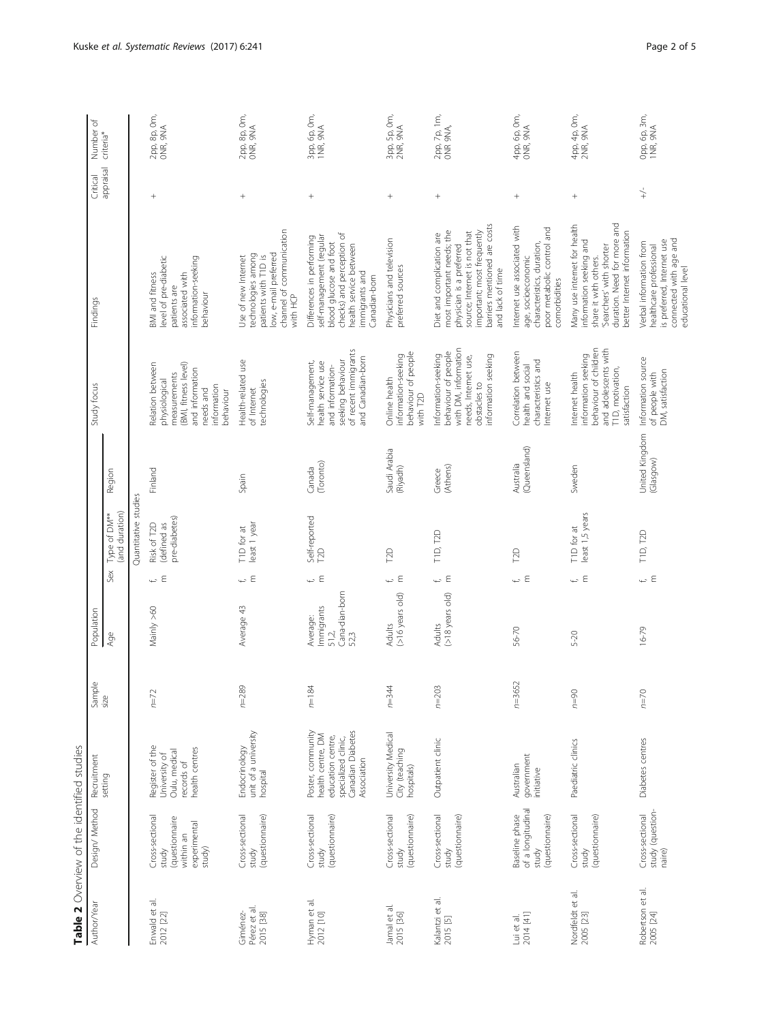<span id="page-1-0"></span>

| Author/Year                              | Table 2 Overview of the identified studies<br>Design/ Method                     | Recruitment                                                                                                            |                | Population                                                |                                |                                             |                             | Study focus                                                                                                                           | Findings                                                                                                                                                                                             | Critical        | đ<br>Number              |
|------------------------------------------|----------------------------------------------------------------------------------|------------------------------------------------------------------------------------------------------------------------|----------------|-----------------------------------------------------------|--------------------------------|---------------------------------------------|-----------------------------|---------------------------------------------------------------------------------------------------------------------------------------|------------------------------------------------------------------------------------------------------------------------------------------------------------------------------------------------------|-----------------|--------------------------|
|                                          |                                                                                  | setting                                                                                                                | Sample<br>size | Age                                                       | Sex                            | (and duration)<br>Type of DM**              | Region                      |                                                                                                                                       |                                                                                                                                                                                                      | appraisal       | criteria <sup>*</sup>    |
|                                          |                                                                                  |                                                                                                                        |                |                                                           |                                | Quantitative studies                        |                             |                                                                                                                                       |                                                                                                                                                                                                      |                 |                          |
| Enwald et al.<br>2012 [22]               | Cross-sectional<br>questionnaire<br>experimental<br>within an<br>study)<br>study | Register of the<br>health centres<br>Oulu, medical<br>University of<br>records of                                      | $n=72$         | Mainly >60                                                | Ε<br>ť,                        | pre-diabetes)<br>(defined as<br>Risk of T2D | Finland                     | (BMI, fitness level)<br>Relation between<br>and information<br>measurements<br>physiological<br>information<br>needs and<br>pehaviour | level of pre-diabetic<br>information-seeking<br>BMI and fitness<br>associated with<br>patients are<br>behaviour                                                                                      | $^{+}$          | 2pp, 8p, 0m,<br>ONR, 9NA |
| Pérez et al.<br>2015 [38]<br>Giménez-    | Cross-sectional<br>(questionnaire)<br>study                                      | unit of a university<br>Endocrinology<br>hospital                                                                      | $n = 289$      | Average 43                                                | $\overline{C} \in$             | least 1 year<br>T1D for at                  | Spain                       | Health-related use<br>technologies<br>of Internet                                                                                     | channel of communication<br>low, e-mail preferred<br>technologies among<br>patients with T1D is<br>Use of new Internet<br>with HCP                                                                   | $^{+}$          | 2pp, 8p, 0m,<br>ONR, 9NA |
| Hyman et al.<br>2012 [10]                | Cross-sectional<br>(questionnaire)<br>study                                      | Poster, community<br>Canadian Diabetes<br>health centre, DM<br>education centre,<br>specialized clinic,<br>Association | $n = 184$      | Cana-dian-born<br>Immigrants<br>Average:<br>51,2,<br>52,3 | ← ε                            | Self-reported<br><b>DD</b>                  | (Toronto)<br>Ganada         | of recent immigrants<br>and Canadian-bom<br>seeking behaviour<br>Self-management,<br>health service use<br>and information-           | checks) and perception of<br>Differences in performing<br>self-management (regular<br>blood glucose and foot<br>health service between<br>immigrants and<br>Canadian-born                            | $\! + \!\!\!\!$ | 3pp, 6p, 0m,<br>INR, 9NA |
| Jamal et al.<br>2015 [36]                | Cross-sectional<br>(questionnaire)<br>study                                      | University Medical<br>City (teaching<br>hospitals)                                                                     | $n = 344$      | $(>16$ years old)<br>Adults                               | $\overline{\phantom{a}}$ $\in$ | <b>DD</b>                                   | Saudi Arabia<br>(Riyadh)    | behaviour of people<br>information-seeking<br>Online health<br>with T2D                                                               | Physicians and television<br>preferred sources                                                                                                                                                       | $^{+}$          | 3pp, 5p, 0m,<br>2NR, 9NA |
| Kalantzi et al.<br>2015 [5]              | Cross-sectional<br>(questionnaire)<br>study                                      | Outpatient clinic                                                                                                      | $n = 203$      | $(>18$ years old)<br>Adults                               | $\leftharpoonup$ $\in$         | TID, T2D                                    | (Athens)<br>Greece          | with DM, information<br>behaviour of people<br>Information-seeking<br>information seeking<br>needs, Internet use,<br>obstacles to     | barriers mentioned are costs<br>source; Internet is not that<br>important; most frequently<br>most important needs; the<br>Diet and complication are<br>physician is a preferred<br>and lack of time | $^{+}$          | 2pp, 7p, 1m,<br>ONR 9NA, |
| Lui et al.<br>2014 [41]                  | of a longitudinal<br>Baseline phase<br>(questionnaire)<br>study                  | government<br>Australian<br>initiative                                                                                 | $n = 3652$     | 56-70                                                     | ΨE                             | <b>DO</b>                                   | (Queensland)<br>Australia   | Correlation between<br>characteristics and<br>health and social<br>Internet use                                                       | Internet use associated with<br>poor metabolic control and<br>characteristics, duration,<br>age, socioeconomic<br>comorbidities                                                                      | $^{+}$          | 4pp, 6p, 0m,<br>ONR, 9NA |
| Nordfeldt et al.<br>2005 [23]            | Cross-sectional<br>(questionnaire)<br>study                                      | Paediatric clinics                                                                                                     | $n=90$         | $5 - 20$                                                  | $\overline{L}$ $\in$           | least 1,5 years<br>T1D for at               | Sweden                      | behaviour of children<br>and adolescents with<br>information seeking<br>T1D, motivation,<br>Internet health<br>satisfaction           | duration. Need for more and<br>Many use internet for health<br>better Internet information<br>information seeking and<br>'Searchers' with shorter<br>share it with others.                           |                 | 4pp, 4p, 0m,<br>2NR, 9NA |
| Robertson et al.<br>2005 <sub>[24]</sub> | study (question-<br>Cross-sectional<br>naire)                                    | Diabetes centres                                                                                                       | $n = 70$       | $16 - 79$                                                 | $\overline{L}$ $\in$           | T1D, T2D                                    | United Kingdom<br>(Glasgow) | Information source<br>DM, satisfaction<br>of people with                                                                              | connected with age and<br>is preferred, Internet use<br>Verbal information from<br>healthcare professional<br>educational level                                                                      | $\downarrow$    | Opp, 6p, 3m,<br>INR, 9NA |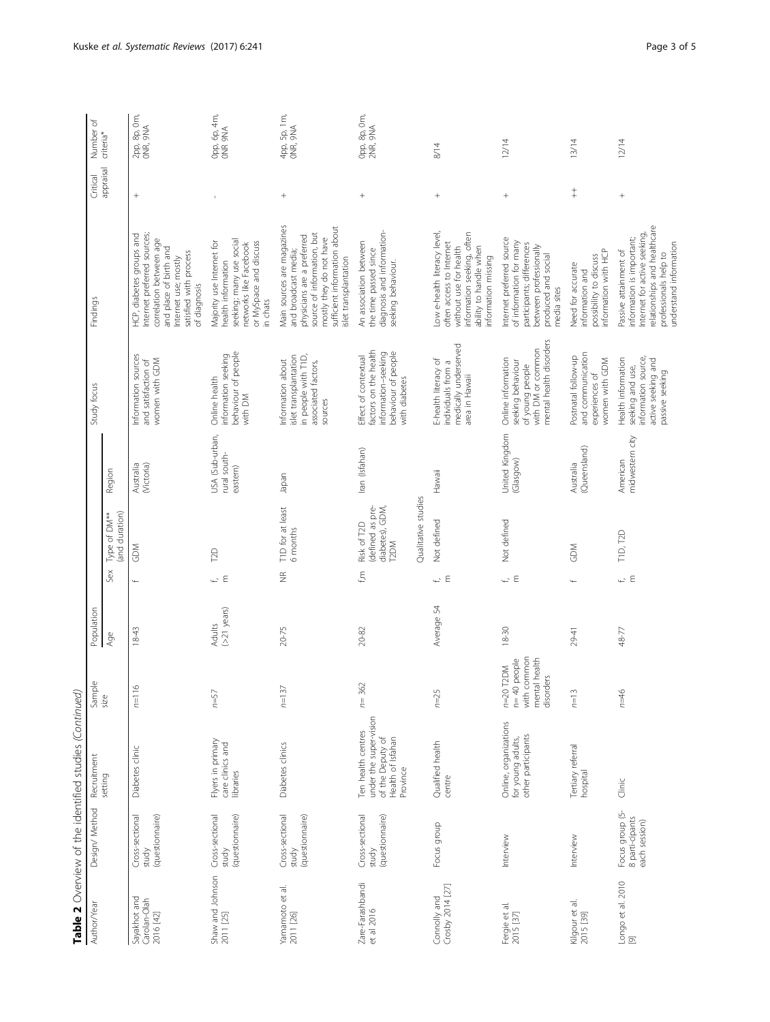|                                           |                                                     | Table 2 Overview of the identified studies (Continued                                             |                                                                           |                         |                         |                                                            |                                             |                                                                                                              |                                                                                                                                                                                                    |                 |                          |
|-------------------------------------------|-----------------------------------------------------|---------------------------------------------------------------------------------------------------|---------------------------------------------------------------------------|-------------------------|-------------------------|------------------------------------------------------------|---------------------------------------------|--------------------------------------------------------------------------------------------------------------|----------------------------------------------------------------------------------------------------------------------------------------------------------------------------------------------------|-----------------|--------------------------|
| Author/Yea                                | Design/ Method                                      | Recruitmen                                                                                        | Sample                                                                    | Population              |                         |                                                            |                                             | Study focus                                                                                                  | Findings                                                                                                                                                                                           | Critical        | Number of                |
|                                           |                                                     | setting                                                                                           | size                                                                      | Age                     | Sex                     | (and duration)<br>Type of DM**                             | Region                                      |                                                                                                              |                                                                                                                                                                                                    | appraisal       | criteria <sup>*</sup>    |
| Sayakhot and<br>Carolan-Olah<br>2016 [42] | Cross-sectional<br>(questionnaire)<br>study         | Diabetes clinic                                                                                   | $\circ$<br>$\overline{p}$                                                 | $18 - 43$               | $\ddot{}$               | <b>GDM</b>                                                 | Australia<br>(Mctoria                       | Information sources<br>women with GDM<br>and satisfaction of                                                 | Internet preferred sources;<br>HCP, diabetes groups and<br>correlation between age<br>and place of birth and<br>satisfied with process<br>Internet use; mostly<br>of diagnosis                     | $^{+}$          | 2pp, 8p, 0m,<br>ONR, 9NA |
| Shaw and Johnson<br>2011 [25]             | Cross-sectional<br>(questionnaire)<br>study         | Flyers in primary<br>care clinics and<br>libraries                                                | $n = 57$                                                                  | $(>21$ years)<br>Adults | $\leftarrow$ E          | T <sub>2</sub> D                                           | USA (Sub-urban,<br>rural south-<br>eastern) | behaviour of people<br>information seeking<br>Online health<br>with DM                                       | seeking; many use social<br>Majority use Internet for<br>or MySpace and discuss<br>networks like Facebook<br>health information<br>in chats                                                        |                 | Opp, 6p, 4m,<br>ONR 9NA  |
| Yamamoto et al.<br>2011 [26]              | Cross-sectional<br>(questionnaire)<br>study         | Diabetes clinics                                                                                  | $n = 137$                                                                 | 20-75                   | $\widetilde{\Xi}$       | T1D for at least<br>6 months                               | Japan                                       | in people with T1D,<br>islet transplantation<br>Information about<br>associated factors,<br>sources          | Main sources are magazines<br>sufficient information about<br>source of information, but<br>physicians are a preferred<br>mostly they do not have<br>and broadcast media;<br>islet transplantation | $\! + \!\!\!\!$ | 4pp, 5p, 1m,<br>ONR, 9NA |
| Zare-Farashbandi<br>et al 2016            | Cross-sectional<br>(questionnaire)<br>study         | under the super-vision<br>Ten health centres<br>of the Deputy of<br>Health of Isfahan<br>Province | $n = 362$                                                                 | 20-82                   | fm                      | (defined as pre-<br>diabetes), GDM,<br>Risk of T2D<br>T2DM | Iran (Isfahan)                              | factors on the health<br>information-seeking<br>behaviour of people<br>Effect of contextual<br>with diabetes | diagnosis and information-<br>An association between<br>the time passed since<br>seeking behaviour.                                                                                                | $^{+}$          | Opp, 8p, 0m,<br>2NR, 9NA |
|                                           |                                                     |                                                                                                   |                                                                           |                         |                         | Qualitative studies                                        |                                             |                                                                                                              |                                                                                                                                                                                                    |                 |                          |
| Connolly and<br>Crosby 2014 [27]          | Focus group                                         | Qualified health<br>centre                                                                        | $n = 25$                                                                  | Average 54              | ع پ                     | Not defined                                                | Hawaii                                      | medically underserved<br>E-health literacy of<br>individuals from a<br>area in Hawaii                        | Low e-health literacy level,<br>information seeking, often<br>often access to Internet<br>ability to handle when<br>without use for health<br>information missing                                  | $\! + \!\!\!\!$ | 8/14                     |
| Fergie et al.<br>2015 [37]                | Interview                                           | Online, organizations<br>other participants<br>for young adults,                                  | common<br>mental health<br>n= 40 people<br>n=20 T2DM<br>disorders<br>with | $18 - 30$               | $\leftharpoonup$ $\in$  | Not defined                                                | United Kingdom<br>(Glasgow)                 | mental health disorders<br>with DM or common<br>Online information<br>seeking behaviour<br>of young people   | Internet preferred source<br>of information for many<br>participants; differences<br>between professionally<br>produced and social<br>media sites                                                  | $^{+}$          | 12/14                    |
| Kilgour et al.<br>2015 [39]               | Interview                                           | Tertiary referral<br>hospital                                                                     | $n=13$                                                                    | 29-41                   |                         | GDM                                                        | (Queensland)<br>Australia                   | and communication<br>Postnatal follow-up<br>women with GDM<br>experiences of                                 | information with HCP<br>possibility to discuss<br>Need for accurate<br>information and                                                                                                             | $\ddagger$      | 13/14                    |
| Longo et al. 2010<br>$\Xi$                | Focus group (5-<br>8 parti-cipants<br>each session) | Clinic                                                                                            | $n=46$                                                                    | 48-77                   | $\leftarrow$ $\epsilon$ | T1D, T2D                                                   | midwestern city<br>American                 | information source,<br>Health information<br>active seeking and<br>seeking and use,<br>passive seeking       | relationships and healthcare<br>Internet for active seeking,<br>information is important;<br>understand information<br>Passive attainment of<br>professionals help to                              | $^{+}$          | 12/14                    |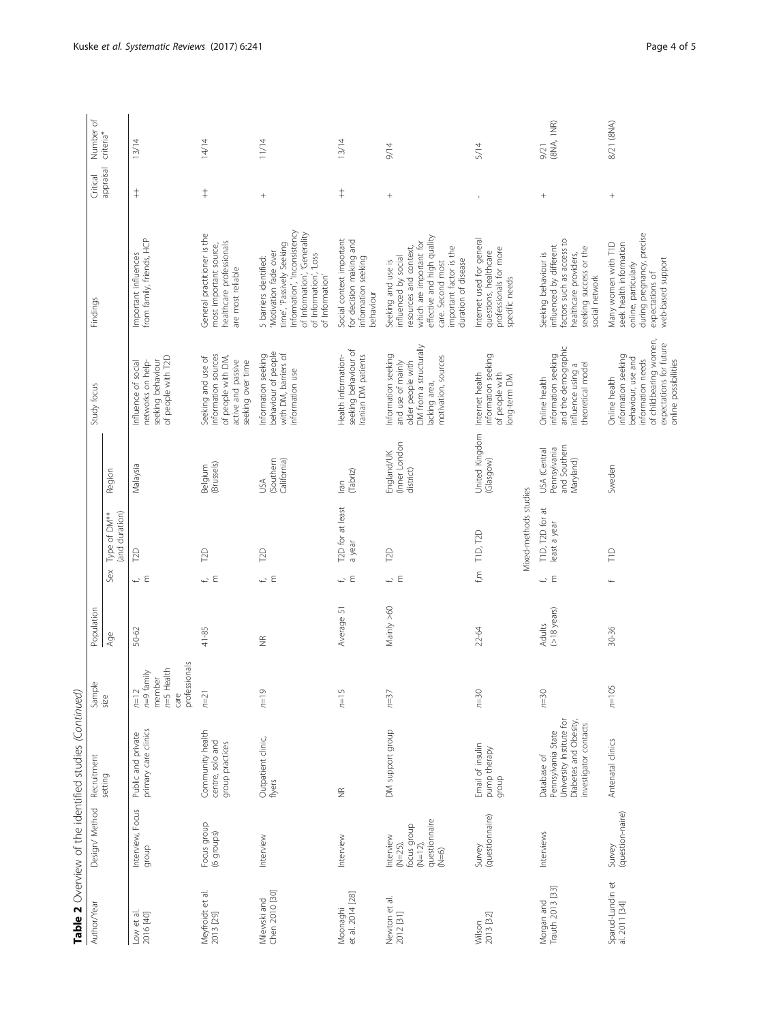| Author/Year                       | Design/ Method                                                                 | Recruitment                                                                                                     | Sample                                                                             | Population              |                      |                                                      |                                                           | Study focus                                                                                                                                                  | Findings                                                                                                                                                                                             | Critical   | Number of             |
|-----------------------------------|--------------------------------------------------------------------------------|-----------------------------------------------------------------------------------------------------------------|------------------------------------------------------------------------------------|-------------------------|----------------------|------------------------------------------------------|-----------------------------------------------------------|--------------------------------------------------------------------------------------------------------------------------------------------------------------|------------------------------------------------------------------------------------------------------------------------------------------------------------------------------------------------------|------------|-----------------------|
|                                   |                                                                                | setting                                                                                                         | size                                                                               | Age                     | Sex                  | (and duration)<br>Type of DM**                       | Region                                                    |                                                                                                                                                              |                                                                                                                                                                                                      | appraisal  | criteria <sup>*</sup> |
| Low et al.<br>2016 [40]           | Interview, Focus<br>group                                                      | primary care clinics<br>Public and private                                                                      | professionals<br>$n=5$ Health<br>$n=9$ family<br>member<br>$\sim$<br>care<br>$n=1$ | 50-62                   | ΨE                   | <b>DD</b>                                            | Malaysia                                                  | of people with T2D<br>seeking behaviour<br>networks on help-<br>Influence of social                                                                          | from family, friends, HCP<br>Important influences                                                                                                                                                    | $\ddagger$ | 13/14                 |
| Meyfroidt et al.<br>2013 [29]     | Focus group<br>(6 groups)                                                      | Community health<br>centre, solo and<br>group practices                                                         | $n = 21$                                                                           | 41-85                   | $\overline{a}$ $\in$ | <b>Po</b>                                            | (Brussels)<br>Belgium                                     | information sources<br>Seeking and use of<br>of people with DM,<br>active and passive<br>seeking over time                                                   | General practitioner is the<br>healthcare professionals<br>most important source,<br>are most reliable                                                                                               | $\ddagger$ | 14/14                 |
| Chen 2010 [30]<br>Milewski and    | Interview                                                                      | Outpatient clinic,<br>flyers                                                                                    | $\circ$<br>$=$                                                                     | $\widetilde{\Xi}$       | $\overline{L}$ $\in$ | <b>P2D</b>                                           | (Southern<br>California)<br>ΛSΛ                           | behaviour of people<br>with DM, barriers of<br>Information seeking<br>information use                                                                        | Information', 'Inconsistency<br>of Information', 'Generality<br>time', 'Passively Seeking<br>'Motivation fade over<br>of Information', 'Loss<br>5 barriers identified:<br>of Information'            | $^{+}$     | 11/14                 |
| et al. 2014 [28]<br>Moonaghi      | Interview                                                                      | $\widetilde{\Xi}$                                                                                               | $\mathsf{L}\cap$<br>$n=1$                                                          | Average 51              | ΨE                   | T2D for at least<br>a year                           | (Tabriz)<br>Iran                                          | seeking behaviour of<br>Iranian DM patients<br>Health information-                                                                                           | Social context important<br>for decision making and<br>information seeking<br>behaviour                                                                                                              | $\ddagger$ | 13/14                 |
| Newton et al.<br>2012 [31]        | questionnaire<br>(N=6)<br>focus group<br>Interview<br>$(N=12)$ ,<br>$(N=25)$ , | DM support group                                                                                                | $\sim$<br>$n=3$                                                                    | Mainly >60              | $\overline{L}$ $\in$ | <b>P2D</b>                                           | (Inner London<br>England/UK<br>district)                  | DM from a structurally<br>Information seeking<br>motivation, sources<br>and use of mainly<br>older people with<br>lacking area,                              | effective and high quality<br>which are important for<br>important factor is the<br>resources and context,<br>influenced by social<br>duration of disease<br>Seeking and use is<br>care. Second most |            | 9/14                  |
| 2013 [32]<br>Wilson               | (questionnaire)<br>Survey                                                      | Email of insulin<br>pump therapy<br>qroup                                                                       | $n=30$                                                                             | 22-64                   |                      | Mixed-methods studies<br>$f,m$ TID, T <sub>2</sub> D | United Kingdom<br>(Glasgow)                               | information seeking<br>of people with<br>Internet health<br>long-term DM                                                                                     | Internet used for general<br>professionals for more<br>questions, healthcare<br>specific needs                                                                                                       |            | 5/14                  |
| Morgan and<br>Trauth 2013 [33]    | Interviews                                                                     | University Institute for<br>Diabetes and Obesity,<br>investigator contacts<br>Pennsylvania State<br>Database of | $n = 30$                                                                           | $(>18$ years)<br>Adults | $\overline{C} \in$   | TID, T2D for at<br>least a year                      | and Southern<br>Pennsylvania<br>USA (Central<br>Maryland) | and the demographic<br>information seeking<br>influence using a<br>theoretical model<br>Online health                                                        | factors such as access to<br>influenced by different<br>seeking success or the<br>Seeking behaviour is<br>healthcare providers,<br>social network                                                    | $^{+}$     | (8NA, 1NR)<br>9/21    |
| Sparud-Lundin et<br>al. 2011 [34] | (question-naire)<br>Survey                                                     | Antenatal clinics                                                                                               | S<br>$\frac{1}{2}$                                                                 | $30 - 36$               |                      | $\frac{1}{11}$                                       | Sweden                                                    | of childbearing women,<br>expectations for future<br>information seeking<br>behaviour, use and<br>information needs<br>online possibilities<br>Online health | during pregnancy, precise<br>Many women with TID<br>seek health information<br>web-based support<br>online, particularly<br>expectations of                                                          | $^{+}$     | 8/21 (8NA)            |

Table 2 Overview of the identified studies (Continued) **Table 2** Overview of the identified studies (Continued)